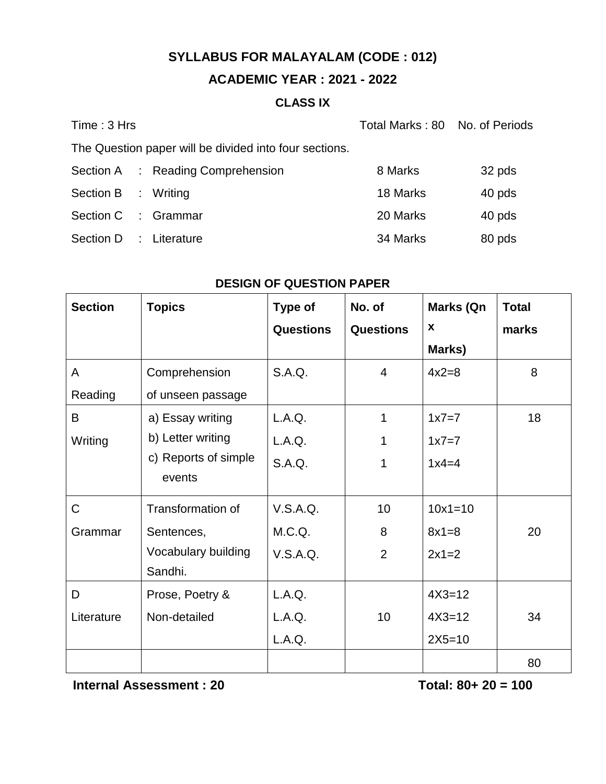## **ACADEMIC YEAR : 2021 - 2022**

### **CLASS IX**

| Time: 3 Hrs                                            | Total Marks: 80 No. of Periods |        |
|--------------------------------------------------------|--------------------------------|--------|
| The Question paper will be divided into four sections. |                                |        |
| Section A : Reading Comprehension                      | 8 Marks                        | 32 pds |
| Section B : Writing                                    | 18 Marks                       | 40 pds |
| Section C : Grammar                                    | 20 Marks                       | 40 pds |
| Section D : Literature                                 | 34 Marks                       | 80 pds |

| <b>Section</b> | <b>Topics</b>            | Type of          | No. of           | Marks (Qn   | <b>Total</b> |
|----------------|--------------------------|------------------|------------------|-------------|--------------|
|                |                          | <b>Questions</b> | <b>Questions</b> | X           | marks        |
|                |                          |                  |                  | Marks)      |              |
| A              | Comprehension            | S.A.Q.           | $\overline{4}$   | $4x2=8$     | 8            |
| Reading        | of unseen passage        |                  |                  |             |              |
| B              | a) Essay writing         | L.A.Q.           | 1                | $1x7=7$     | 18           |
| Writing        | b) Letter writing        | L.A.Q.           |                  | $1x7=7$     |              |
|                | c) Reports of simple     | S.A.Q.           | 1                | $1x4=4$     |              |
|                | events                   |                  |                  |             |              |
| $\mathsf{C}$   | <b>Transformation of</b> | V.S.A.Q.         | 10               | $10x1 = 10$ |              |
| Grammar        | Sentences,               | M.C.Q.           | 8                | $8x1 = 8$   | 20           |
|                | Vocabulary building      | V.S.A.Q.         | 2                | $2x1=2$     |              |
|                | Sandhi.                  |                  |                  |             |              |
| D              | Prose, Poetry &          | L.A.Q.           |                  | $4X3 = 12$  |              |
| Literature     | Non-detailed             | L.A.Q.           | 10               | $4X3 = 12$  | 34           |
|                |                          | L.A.Q.           |                  | $2X5 = 10$  |              |
|                |                          |                  |                  |             | 80           |

#### **DESIGN OF QUESTION PAPER**

**Internal Assessment : 20** Total: 80+ 20 = 100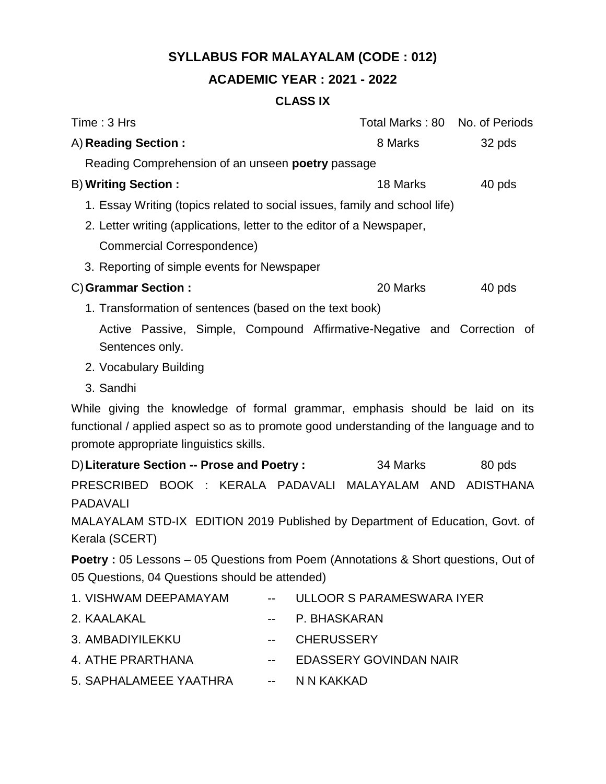## **ACADEMIC YEAR : 2021 - 2022**

### **CLASS IX**

| Time: 3 Hrs                                                                                                                                                                                                       |    |                   |                               | Total Marks: 80 No. of Periods |
|-------------------------------------------------------------------------------------------------------------------------------------------------------------------------------------------------------------------|----|-------------------|-------------------------------|--------------------------------|
| A) Reading Section:                                                                                                                                                                                               |    |                   | 8 Marks                       | 32 pds                         |
| Reading Comprehension of an unseen <b>poetry</b> passage                                                                                                                                                          |    |                   |                               |                                |
| <b>B) Writing Section:</b>                                                                                                                                                                                        |    |                   | 18 Marks                      | 40 pds                         |
| 1. Essay Writing (topics related to social issues, family and school life)                                                                                                                                        |    |                   |                               |                                |
| 2. Letter writing (applications, letter to the editor of a Newspaper,                                                                                                                                             |    |                   |                               |                                |
| <b>Commercial Correspondence)</b>                                                                                                                                                                                 |    |                   |                               |                                |
| 3. Reporting of simple events for Newspaper                                                                                                                                                                       |    |                   |                               |                                |
| C) Grammar Section:                                                                                                                                                                                               |    |                   | 20 Marks                      | 40 pds                         |
| 1. Transformation of sentences (based on the text book)                                                                                                                                                           |    |                   |                               |                                |
| Active Passive, Simple, Compound Affirmative-Negative and Correction of<br>Sentences only.                                                                                                                        |    |                   |                               |                                |
| 2. Vocabulary Building                                                                                                                                                                                            |    |                   |                               |                                |
| 3. Sandhi                                                                                                                                                                                                         |    |                   |                               |                                |
| While giving the knowledge of formal grammar, emphasis should be laid on its<br>functional / applied aspect so as to promote good understanding of the language and to<br>promote appropriate linguistics skills. |    |                   |                               |                                |
| D) Literature Section -- Prose and Poetry :                                                                                                                                                                       |    |                   | 34 Marks                      | 80 pds                         |
| PRESCRIBED BOOK : KERALA PADAVALI MALAYALAM AND ADISTHANA<br><b>PADAVALI</b>                                                                                                                                      |    |                   |                               |                                |
| MALAYALAM STD-IX EDITION 2019 Published by Department of Education, Govt. of<br>Kerala (SCERT)                                                                                                                    |    |                   |                               |                                |
| Poetry: 05 Lessons - 05 Questions from Poem (Annotations & Short questions, Out of<br>05 Questions, 04 Questions should be attended)                                                                              |    |                   |                               |                                |
| 1. VISHWAM DEEPAMAYAM                                                                                                                                                                                             |    |                   | ULLOOR S PARAMESWARA IYER     |                                |
| 2. KAALAKAL                                                                                                                                                                                                       | -- |                   | P. BHASKARAN                  |                                |
| 3. AMBADIYILEKKU                                                                                                                                                                                                  | -- | <b>CHERUSSERY</b> |                               |                                |
| 4. ATHE PRARTHANA                                                                                                                                                                                                 | -- |                   | <b>EDASSERY GOVINDAN NAIR</b> |                                |
| 5. SAPHALAMEEE YAATHRA                                                                                                                                                                                            | −− | N N KAKKAD        |                               |                                |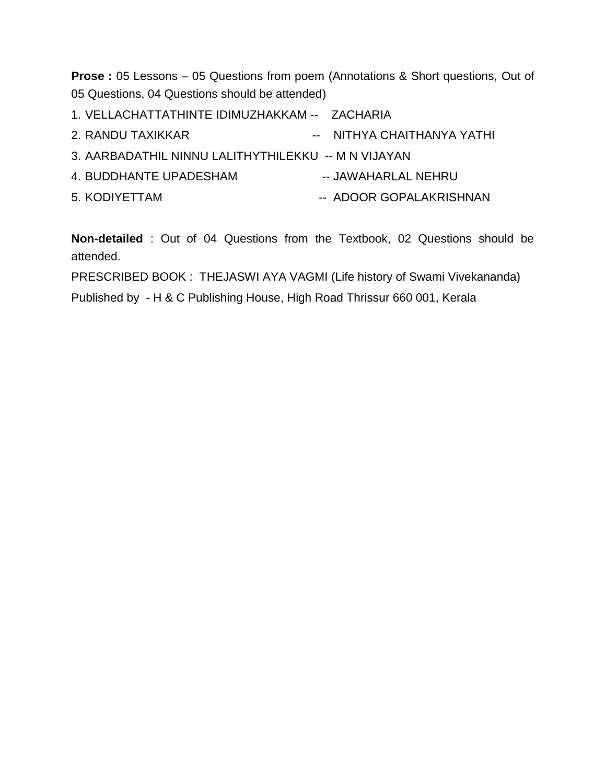**Prose :** 05 Lessons – 05 Questions from poem (Annotations & Short questions, Out of 05 Questions, 04 Questions should be attended)

- 1. VELLACHATTATHINTE IDIMUZHAKKAM -- ZACHARIA
- 2. RANDU TAXIKKAR -- NITHYA CHAITHANYA YATHI
- 3. AARBADATHIL NINNU LALITHYTHILEKKU -- M N VIJAYAN
- 4. BUDDHANTE UPADESHAM -- JAWAHARLAL NEHRU
- 5. KODIYETTAM -- ADOOR GOPALAKRISHNAN
- -

**Non-detailed** : Out of 04 Questions from the Textbook, 02 Questions should be attended.

PRESCRIBED BOOK : THEJASWI AYA VAGMI (Life history of Swami Vivekananda) Published by - H & C Publishing House, High Road Thrissur 660 001, Kerala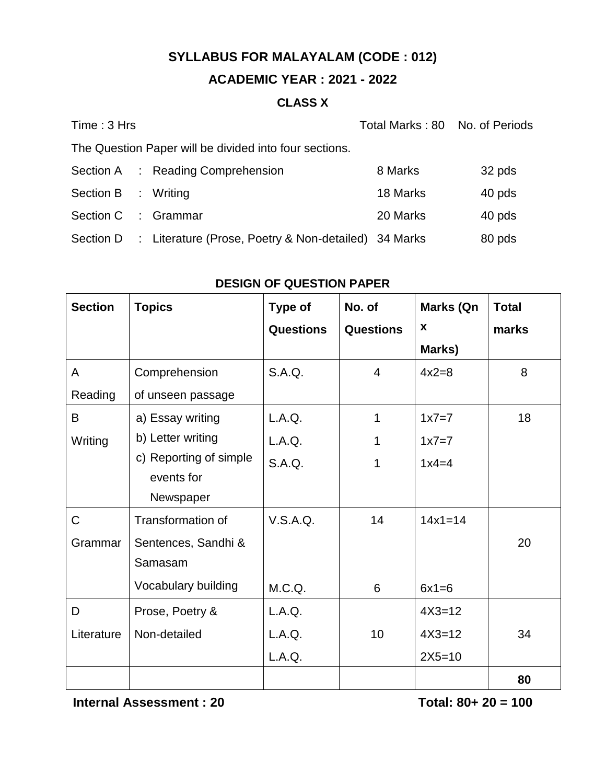## **ACADEMIC YEAR : 2021 - 2022**

### **CLASS X**

| Time: 3 Hrs         |                                                                | Total Marks: 80 No. of Periods |        |
|---------------------|----------------------------------------------------------------|--------------------------------|--------|
|                     | The Question Paper will be divided into four sections.         |                                |        |
|                     | Section A : Reading Comprehension                              | 8 Marks                        | 32 pds |
| Section B : Writing |                                                                | 18 Marks                       | 40 pds |
| Section C : Grammar |                                                                | 20 Marks                       | 40 pds |
|                     | Section D : Literature (Prose, Poetry & Non-detailed) 34 Marks |                                | 80 pds |

| <b>Section</b> | <b>Topics</b>            | Type of          | No. of           | Marks (Qn   | <b>Total</b> |
|----------------|--------------------------|------------------|------------------|-------------|--------------|
|                |                          | <b>Questions</b> | <b>Questions</b> | X           | marks        |
|                |                          |                  |                  | Marks)      |              |
| A              | Comprehension            | S.A.Q.           | $\overline{4}$   | $4x2=8$     | 8            |
| Reading        | of unseen passage        |                  |                  |             |              |
| B              | a) Essay writing         | L.A.Q.           | 1                | $1x7=7$     | 18           |
| Writing        | b) Letter writing        | L.A.Q.           | 1                | $1x7=7$     |              |
|                | c) Reporting of simple   | S.A.Q.           | 1                | $1x4=4$     |              |
|                | events for               |                  |                  |             |              |
|                | Newspaper                |                  |                  |             |              |
| $\mathsf C$    | <b>Transformation of</b> | V.S.A.Q.         | 14               | $14x1 = 14$ |              |
| Grammar        | Sentences, Sandhi &      |                  |                  |             | 20           |
|                | Samasam                  |                  |                  |             |              |
|                | Vocabulary building      | M.C.Q.           | 6                | $6x1=6$     |              |
| D              | Prose, Poetry &          | L.A.Q.           |                  | $4X3 = 12$  |              |
| Literature     | Non-detailed             | L.A.Q.           | 10               | $4X3 = 12$  | 34           |
|                |                          | L.A.Q.           |                  | $2X5 = 10$  |              |
|                |                          |                  |                  |             | 80           |

### **DESIGN OF QUESTION PAPER**

**Internal Assessment : 20** Total: 80+ 20 = 100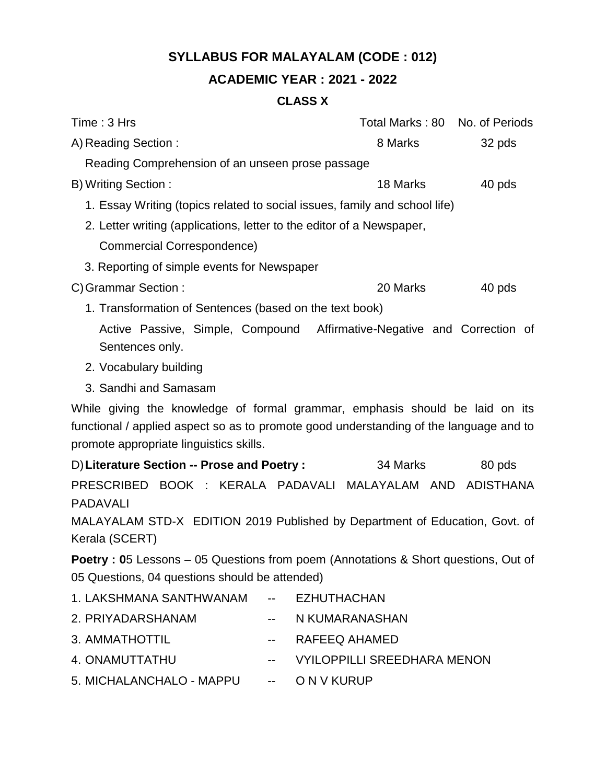## **ACADEMIC YEAR : 2021 - 2022**

## **CLASS X**

| Time: 3 Hrs                                                                                                                                                                                                       |       |             |                                    |        | Total Marks: 80 No. of Periods |
|-------------------------------------------------------------------------------------------------------------------------------------------------------------------------------------------------------------------|-------|-------------|------------------------------------|--------|--------------------------------|
| A) Reading Section:                                                                                                                                                                                               |       | 8 Marks     |                                    | 32 pds |                                |
| Reading Comprehension of an unseen prose passage                                                                                                                                                                  |       |             |                                    |        |                                |
| B) Writing Section:<br>18 Marks                                                                                                                                                                                   |       |             |                                    |        | 40 pds                         |
| 1. Essay Writing (topics related to social issues, family and school life)                                                                                                                                        |       |             |                                    |        |                                |
| 2. Letter writing (applications, letter to the editor of a Newspaper,                                                                                                                                             |       |             |                                    |        |                                |
| <b>Commercial Correspondence)</b>                                                                                                                                                                                 |       |             |                                    |        |                                |
| 3. Reporting of simple events for Newspaper                                                                                                                                                                       |       |             |                                    |        |                                |
| C) Grammar Section:                                                                                                                                                                                               |       |             | 20 Marks                           |        | 40 pds                         |
| 1. Transformation of Sentences (based on the text book)                                                                                                                                                           |       |             |                                    |        |                                |
| Active Passive, Simple, Compound Affirmative-Negative and Correction of<br>Sentences only.                                                                                                                        |       |             |                                    |        |                                |
| 2. Vocabulary building                                                                                                                                                                                            |       |             |                                    |        |                                |
| 3. Sandhi and Samasam                                                                                                                                                                                             |       |             |                                    |        |                                |
| While giving the knowledge of formal grammar, emphasis should be laid on its<br>functional / applied aspect so as to promote good understanding of the language and to<br>promote appropriate linguistics skills. |       |             |                                    |        |                                |
| D) Literature Section -- Prose and Poetry :                                                                                                                                                                       |       |             | 34 Marks                           |        | 80 pds                         |
| PRESCRIBED BOOK : KERALA PADAVALI MALAYALAM AND ADISTHANA<br><b>PADAVALI</b>                                                                                                                                      |       |             |                                    |        |                                |
| MALAYALAM STD-X EDITION 2019 Published by Department of Education, Govt. of<br>Kerala (SCERT)                                                                                                                     |       |             |                                    |        |                                |
| Poetry: 05 Lessons - 05 Questions from poem (Annotations & Short questions, Out of                                                                                                                                |       |             |                                    |        |                                |
| 05 Questions, 04 questions should be attended)                                                                                                                                                                    |       |             |                                    |        |                                |
| 1. LAKSHMANA SANTHWANAM                                                                                                                                                                                           |       |             | <b>EZHUTHACHAN</b>                 |        |                                |
| 2. PRIYADARSHANAM                                                                                                                                                                                                 | $- -$ |             | N KUMARANASHAN                     |        |                                |
| 3. AMMATHOTTIL                                                                                                                                                                                                    | --    |             | RAFEEQ AHAMED                      |        |                                |
| 4. ONAMUTTATHU                                                                                                                                                                                                    | --    |             | <b>VYILOPPILLI SREEDHARA MENON</b> |        |                                |
| 5. MICHALANCHALO - MAPPU                                                                                                                                                                                          | --    | O N V KURUP |                                    |        |                                |